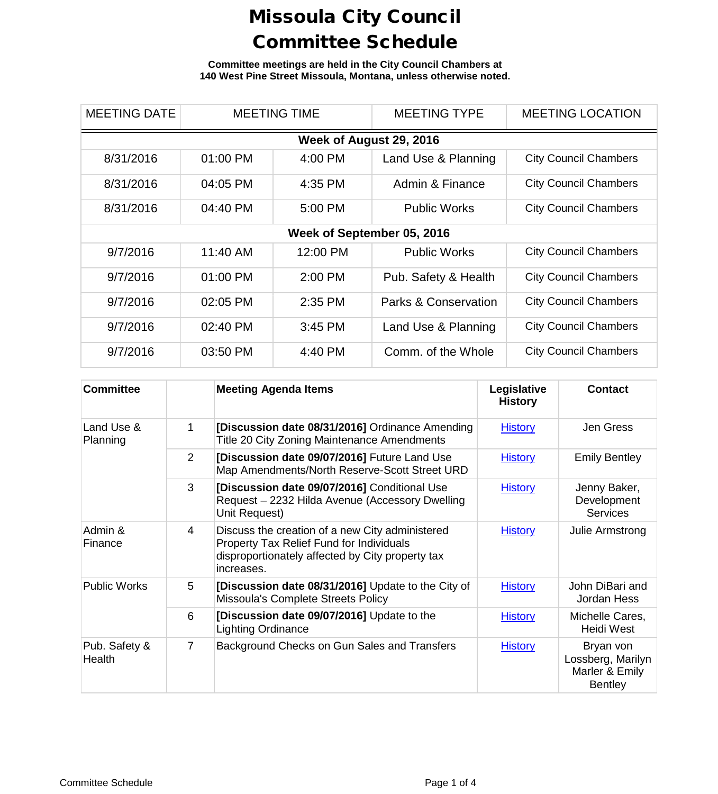**Committee meetings are held in the City Council Chambers at 140 West Pine Street Missoula, Montana, unless otherwise noted.**

| <b>MEETING DATE</b>        | <b>MEETING TIME</b> |           | <b>MEETING TYPE</b>  | <b>MEETING LOCATION</b>      |  |  |
|----------------------------|---------------------|-----------|----------------------|------------------------------|--|--|
| Week of August 29, 2016    |                     |           |                      |                              |  |  |
| 8/31/2016                  | 01:00 PM            | 4:00 PM   | Land Use & Planning  | <b>City Council Chambers</b> |  |  |
| 8/31/2016                  | 04:05 PM            | 4:35 PM   | Admin & Finance      | <b>City Council Chambers</b> |  |  |
| 8/31/2016                  | 04:40 PM            | 5:00 PM   | <b>Public Works</b>  | <b>City Council Chambers</b> |  |  |
| Week of September 05, 2016 |                     |           |                      |                              |  |  |
| 9/7/2016                   | 11:40 AM            | 12:00 PM  | <b>Public Works</b>  | <b>City Council Chambers</b> |  |  |
| 9/7/2016                   | 01:00 PM            | $2:00$ PM | Pub. Safety & Health | <b>City Council Chambers</b> |  |  |
| 9/7/2016                   | 02:05 PM            | 2:35 PM   | Parks & Conservation | <b>City Council Chambers</b> |  |  |
| 9/7/2016                   | 02:40 PM            | 3:45 PM   | Land Use & Planning  | <b>City Council Chambers</b> |  |  |
| 9/7/2016                   | 03:50 PM            | 4:40 PM   | Comm. of the Whole   | <b>City Council Chambers</b> |  |  |

| <b>Committee</b>        |                | <b>Meeting Agenda Items</b>                                                                                                                                   | Legislative<br><b>History</b> | <b>Contact</b>                                                     |
|-------------------------|----------------|---------------------------------------------------------------------------------------------------------------------------------------------------------------|-------------------------------|--------------------------------------------------------------------|
| Land Use &<br>Planning  | 1              | [Discussion date 08/31/2016] Ordinance Amending<br>Title 20 City Zoning Maintenance Amendments                                                                | <b>History</b>                | Jen Gress                                                          |
|                         | 2              | [Discussion date 09/07/2016] Future Land Use<br>Map Amendments/North Reserve-Scott Street URD                                                                 | <b>History</b>                | <b>Emily Bentley</b>                                               |
|                         | 3              | [Discussion date 09/07/2016] Conditional Use<br>Request - 2232 Hilda Avenue (Accessory Dwelling<br>Unit Request)                                              | <b>History</b>                | Jenny Baker,<br>Development<br><b>Services</b>                     |
| Admin &<br>Finance      | $\overline{4}$ | Discuss the creation of a new City administered<br>Property Tax Relief Fund for Individuals<br>disproportionately affected by City property tax<br>increases. | <b>History</b>                | Julie Armstrong                                                    |
| <b>Public Works</b>     | 5              | [Discussion date 08/31/2016] Update to the City of<br>Missoula's Complete Streets Policy                                                                      | <b>History</b>                | John DiBari and<br>Jordan Hess                                     |
|                         | 6              | [Discussion date 09/07/2016] Update to the<br><b>Lighting Ordinance</b>                                                                                       | <b>History</b>                | Michelle Cares,<br>Heidi West                                      |
| Pub. Safety &<br>Health | $\overline{7}$ | Background Checks on Gun Sales and Transfers                                                                                                                  | <b>History</b>                | Bryan von<br>Lossberg, Marilyn<br>Marler & Emily<br><b>Bentley</b> |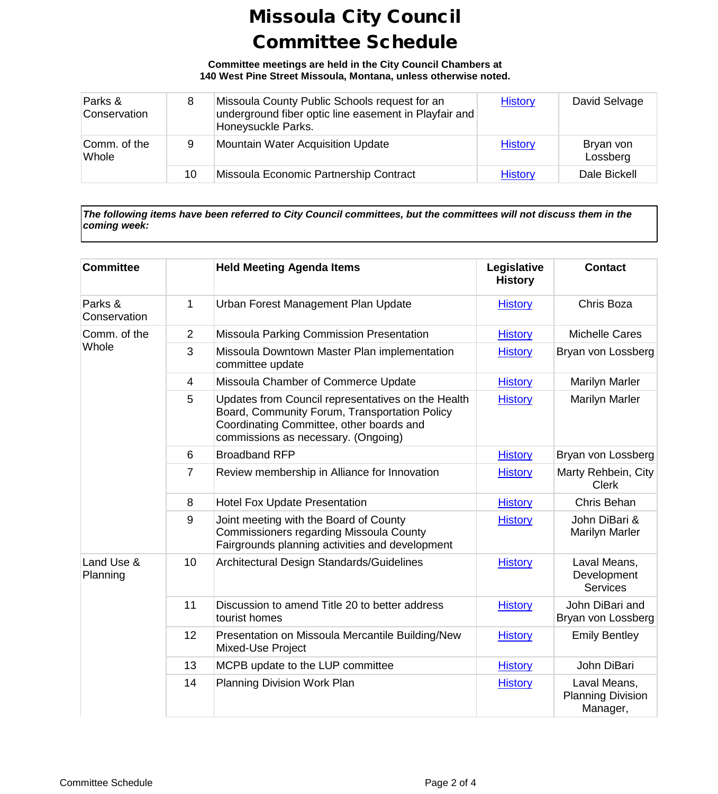**Committee meetings are held in the City Council Chambers at 140 West Pine Street Missoula, Montana, unless otherwise noted.**

| Parks &<br>Conservation | 8  | Missoula County Public Schools request for an<br>underground fiber optic line easement in Playfair and<br>Honeysuckle Parks. | <b>History</b> | David Selvage         |
|-------------------------|----|------------------------------------------------------------------------------------------------------------------------------|----------------|-----------------------|
| Comm. of the<br>Whole   | 9  | Mountain Water Acquisition Update                                                                                            | <b>History</b> | Bryan von<br>Lossberg |
|                         | 10 | Missoula Economic Partnership Contract                                                                                       | <b>History</b> | Dale Bickell          |

*The following items have been referred to City Council committees, but the committees will not discuss them in the coming week:*

| <b>Committee</b>        |                | <b>Held Meeting Agenda Items</b>                                                                                                                                                       | Legislative<br><b>History</b> | <b>Contact</b>                                       |
|-------------------------|----------------|----------------------------------------------------------------------------------------------------------------------------------------------------------------------------------------|-------------------------------|------------------------------------------------------|
| Parks &<br>Conservation | 1              | Urban Forest Management Plan Update                                                                                                                                                    | <b>History</b>                | Chris Boza                                           |
| Comm. of the<br>Whole   | $\overline{2}$ | Missoula Parking Commission Presentation                                                                                                                                               | <b>History</b>                | <b>Michelle Cares</b>                                |
|                         | 3              | Missoula Downtown Master Plan implementation<br>committee update                                                                                                                       | <b>History</b>                | Bryan von Lossberg                                   |
|                         | $\overline{4}$ | Missoula Chamber of Commerce Update                                                                                                                                                    | <b>History</b>                | <b>Marilyn Marler</b>                                |
|                         | 5              | Updates from Council representatives on the Health<br>Board, Community Forum, Transportation Policy<br>Coordinating Committee, other boards and<br>commissions as necessary. (Ongoing) | <b>History</b>                | <b>Marilyn Marler</b>                                |
|                         | 6              | <b>Broadband RFP</b>                                                                                                                                                                   | <b>History</b>                | Bryan von Lossberg                                   |
|                         | $\overline{7}$ | Review membership in Alliance for Innovation                                                                                                                                           | <b>History</b>                | Marty Rehbein, City<br><b>Clerk</b>                  |
|                         | 8              | <b>Hotel Fox Update Presentation</b>                                                                                                                                                   | <b>History</b>                | Chris Behan                                          |
|                         | 9              | Joint meeting with the Board of County<br>Commissioners regarding Missoula County<br>Fairgrounds planning activities and development                                                   | <b>History</b>                | John DiBari &<br><b>Marilyn Marler</b>               |
| Land Use &<br>Planning  | 10             | Architectural Design Standards/Guidelines                                                                                                                                              | <b>History</b>                | Laval Means,<br>Development<br><b>Services</b>       |
|                         | 11             | Discussion to amend Title 20 to better address<br>tourist homes                                                                                                                        | <b>History</b>                | John DiBari and<br>Bryan von Lossberg                |
|                         | 12             | Presentation on Missoula Mercantile Building/New<br>Mixed-Use Project                                                                                                                  | <b>History</b>                | <b>Emily Bentley</b>                                 |
|                         | 13             | MCPB update to the LUP committee                                                                                                                                                       | <b>History</b>                | John DiBari                                          |
|                         | 14             | Planning Division Work Plan                                                                                                                                                            | <b>History</b>                | Laval Means,<br><b>Planning Division</b><br>Manager, |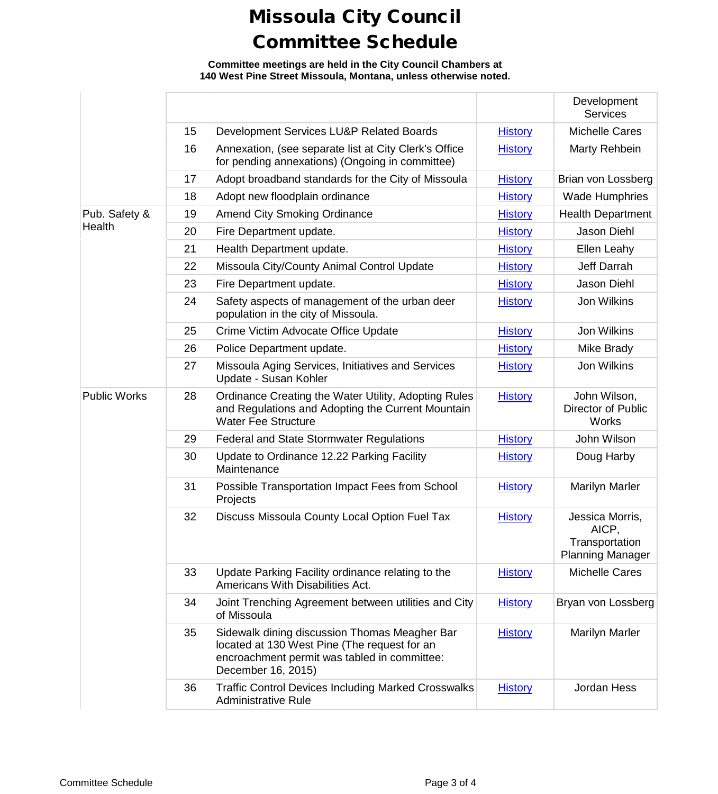**Committee meetings are held in the City Council Chambers at 140 West Pine Street Missoula, Montana, unless otherwise noted.**

|                     |    |                                                                                                                                                                     |                | Development<br><b>Services</b>                                        |
|---------------------|----|---------------------------------------------------------------------------------------------------------------------------------------------------------------------|----------------|-----------------------------------------------------------------------|
|                     | 15 | Development Services LU&P Related Boards                                                                                                                            | <b>History</b> | <b>Michelle Cares</b>                                                 |
|                     | 16 | Annexation, (see separate list at City Clerk's Office<br>for pending annexations) (Ongoing in committee)                                                            | <b>History</b> | Marty Rehbein                                                         |
|                     | 17 | Adopt broadband standards for the City of Missoula                                                                                                                  | <b>History</b> | Brian von Lossberg                                                    |
|                     | 18 | Adopt new floodplain ordinance                                                                                                                                      | <b>History</b> | <b>Wade Humphries</b>                                                 |
| Pub. Safety &       | 19 | <b>Amend City Smoking Ordinance</b>                                                                                                                                 | <b>History</b> | <b>Health Department</b>                                              |
| Health              | 20 | Fire Department update.                                                                                                                                             | <b>History</b> | Jason Diehl                                                           |
|                     | 21 | Health Department update.                                                                                                                                           | <b>History</b> | Ellen Leahy                                                           |
|                     | 22 | Missoula City/County Animal Control Update                                                                                                                          | <b>History</b> | Jeff Darrah                                                           |
|                     | 23 | Fire Department update.                                                                                                                                             | <b>History</b> | Jason Diehl                                                           |
|                     | 24 | Safety aspects of management of the urban deer<br>population in the city of Missoula.                                                                               | <b>History</b> | Jon Wilkins                                                           |
|                     | 25 | Crime Victim Advocate Office Update                                                                                                                                 | <b>History</b> | Jon Wilkins                                                           |
|                     | 26 | Police Department update.                                                                                                                                           | <b>History</b> | Mike Brady                                                            |
|                     | 27 | Missoula Aging Services, Initiatives and Services<br>Update - Susan Kohler                                                                                          | <b>History</b> | Jon Wilkins                                                           |
| <b>Public Works</b> | 28 | Ordinance Creating the Water Utility, Adopting Rules<br>and Regulations and Adopting the Current Mountain<br><b>Water Fee Structure</b>                             | <b>History</b> | John Wilson,<br><b>Director of Public</b><br><b>Works</b>             |
|                     | 29 | <b>Federal and State Stormwater Regulations</b>                                                                                                                     | <b>History</b> | John Wilson                                                           |
|                     | 30 | Update to Ordinance 12.22 Parking Facility<br>Maintenance                                                                                                           | <b>History</b> | Doug Harby                                                            |
|                     | 31 | Possible Transportation Impact Fees from School<br>Projects                                                                                                         | <b>History</b> | <b>Marilyn Marler</b>                                                 |
|                     | 32 | Discuss Missoula County Local Option Fuel Tax                                                                                                                       | <b>History</b> | Jessica Morris,<br>AICP,<br>Transportation<br><b>Planning Manager</b> |
|                     | 33 | Update Parking Facility ordinance relating to the<br>Americans With Disabilities Act.                                                                               | <b>History</b> | <b>Michelle Cares</b>                                                 |
|                     | 34 | Joint Trenching Agreement between utilities and City<br>of Missoula                                                                                                 | <b>History</b> | Bryan von Lossberg                                                    |
|                     | 35 | Sidewalk dining discussion Thomas Meagher Bar<br>located at 130 West Pine (The request for an<br>encroachment permit was tabled in committee:<br>December 16, 2015) | <b>History</b> | <b>Marilyn Marler</b>                                                 |
|                     | 36 | <b>Traffic Control Devices Including Marked Crosswalks</b><br><b>Administrative Rule</b>                                                                            | <b>History</b> | Jordan Hess                                                           |